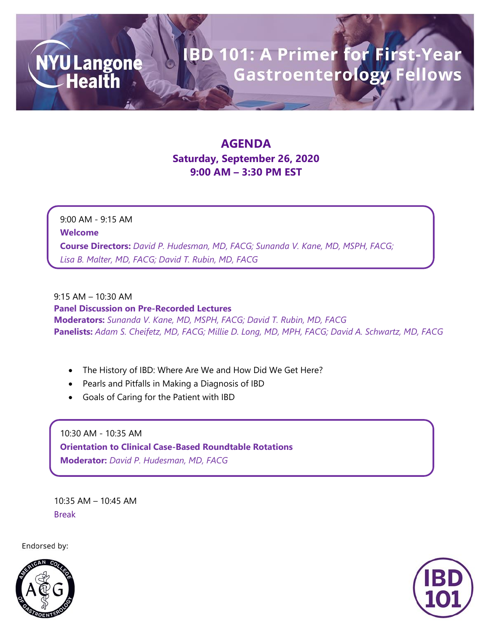## **BD 101: A Primer for First-Year**<br>Gastroenterology Fellows

### **AGENDA Saturday, September 26, 2020 9:00 AM – 3:30 PM EST**

9:00 AM - 9:15 AM **Welcome Course Directors:** *David P. Hudesman, MD, FACG; Sunanda V. Kane, MD, MSPH, FACG; Lisa B. Malter, MD, FACG; David T. Rubin, MD, FACG*

#### 9:15 AM – 10:30 AM

**NYU Langone**<br>
Health

**Panel Discussion on Pre-Recorded Lectures Moderators:** *Sunanda V. Kane, MD, MSPH, FACG; David T. Rubin, MD, FACG* **Panelists:** *Adam S. Cheifetz, MD, FACG; Millie D. Long, MD, MPH, FACG; David A. Schwartz, MD, FACG*

- The History of IBD: Where Are We and How Did We Get Here?
- Pearls and Pitfalls in Making a Diagnosis of IBD
- Goals of Caring for the Patient with IBD

10:30 AM - 10:35 AM **Orientation to Clinical Case-Based Roundtable Rotations Moderator:** *David P. Hudesman, MD, FACG*

10:35 AM – 10:45 AM Break

Endorsed by:



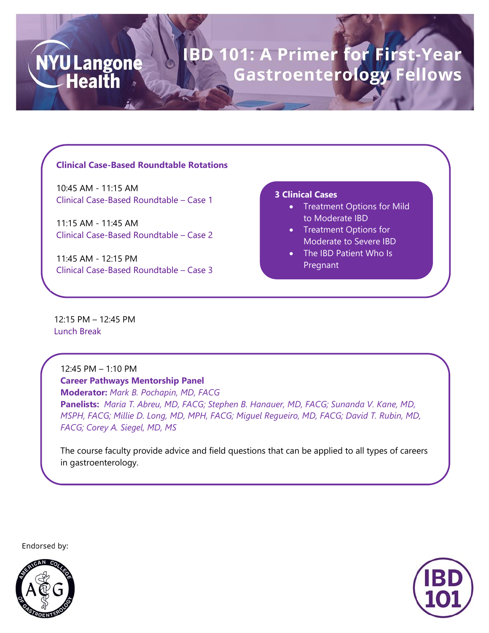# BD 101: A Primer for First-Year<br>Gastroenterology Fellows

#### **Clinical Case-Based Roundtable Rotations**

10:45 AM - 11:15 AM Clinical Case-Based Roundtable – Case 1

11:15 AM - 11:45 AM Clinical Case-Based Roundtable – Case 2

11:45 AM - 12:15 PM Clinical Case-Based Roundtable – Case 3

#### **3 Clinical Cases**

- Treatment Options for Mild to Moderate IBD
- Treatment Options for Moderate to Severe IBD
- The IBD Patient Who Is Pregnant

12:15 PM – 12:45 PM Lunch Break

**NYU Langone** 

**Health** 

12:45 PM – 1:10 PM **Career Pathways Mentorship Panel Moderator:** *Mark B. Pochapin, MD, FACG* **Panelists:** *Maria T. Abreu, MD, FACG; Stephen B. Hanauer, MD, FACG; Sunanda V. Kane, MD, MSPH, FACG; Millie D. Long, MD, MPH, FACG; Miguel Regueiro, MD, FACG; David T. Rubin, MD, FACG; Corey A. Siegel, MD, MS*

The course faculty provide advice and field questions that can be applied to all types of careers in gastroenterology.

Endorsed by: